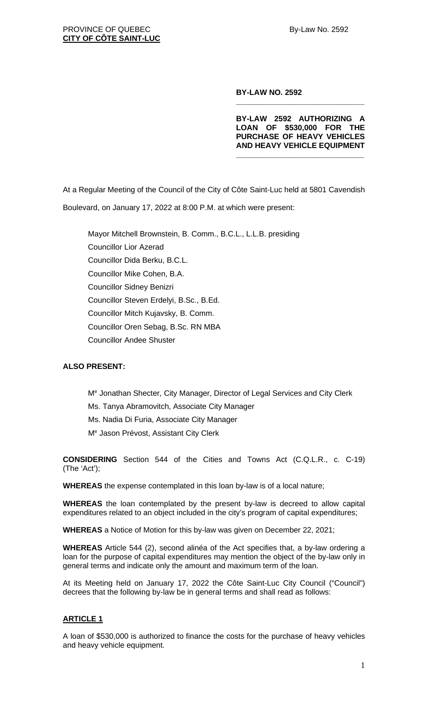#### **BY-LAW NO. 2592**

**BY-LAW 2592 AUTHORIZING A LOAN OF \$530,000 FOR THE PURCHASE OF HEAVY VEHICLES AND HEAVY VEHICLE EQUIPMENT** 

**\_\_\_\_\_\_\_\_\_\_\_\_\_\_\_\_\_\_\_\_\_\_\_\_\_\_\_\_\_\_**

**\_\_\_\_\_\_\_\_\_\_\_\_\_\_\_\_\_\_\_\_\_\_\_\_\_\_\_\_\_\_**

At a Regular Meeting of the Council of the City of Côte Saint-Luc held at 5801 Cavendish Boulevard, on January 17, 2022 at 8:00 P.M. at which were present:

Mayor Mitchell Brownstein, B. Comm., B.C.L., L.L.B. presiding Councillor Lior Azerad Councillor Dida Berku, B.C.L. Councillor Mike Cohen, B.A. Councillor Sidney Benizri Councillor Steven Erdelyi, B.Sc., B.Ed. Councillor Mitch Kujavsky, B. Comm. Councillor Oren Sebag, B.Sc. RN MBA Councillor Andee Shuster

### **ALSO PRESENT:**

Me Jonathan Shecter, City Manager, Director of Legal Services and City Clerk Ms. Tanya Abramovitch, Associate City Manager Ms. Nadia Di Furia, Associate City Manager Me Jason Prévost, Assistant City Clerk

**CONSIDERING** Section 544 of the Cities and Towns Act (C.Q.L.R., c. C-19) (The 'Act');

**WHEREAS** the expense contemplated in this loan by-law is of a local nature;

**WHEREAS** the loan contemplated by the present by-law is decreed to allow capital expenditures related to an object included in the city's program of capital expenditures;

**WHEREAS** a Notice of Motion for this by-law was given on December 22, 2021;

**WHEREAS** Article 544 (2), second alinéa of the Act specifies that, a by-law ordering a loan for the purpose of capital expenditures may mention the object of the by-law only in general terms and indicate only the amount and maximum term of the loan.

At its Meeting held on January 17, 2022 the Côte Saint-Luc City Council ("Council") decrees that the following by-law be in general terms and shall read as follows:

# **ARTICLE 1**

A loan of \$530,000 is authorized to finance the costs for the purchase of heavy vehicles and heavy vehicle equipment.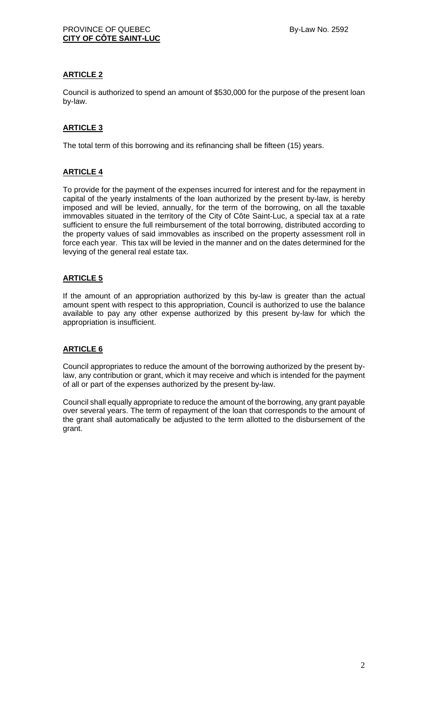# **ARTICLE 2**

Council is authorized to spend an amount of \$530,000 for the purpose of the present loan by-law.

# **ARTICLE 3**

The total term of this borrowing and its refinancing shall be fifteen (15) years.

### **ARTICLE 4**

To provide for the payment of the expenses incurred for interest and for the repayment in capital of the yearly instalments of the loan authorized by the present by-law, is hereby imposed and will be levied, annually, for the term of the borrowing, on all the taxable immovables situated in the territory of the City of Côte Saint-Luc, a special tax at a rate sufficient to ensure the full reimbursement of the total borrowing, distributed according to the property values of said immovables as inscribed on the property assessment roll in force each year. This tax will be levied in the manner and on the dates determined for the levying of the general real estate tax.

# **ARTICLE 5**

If the amount of an appropriation authorized by this by-law is greater than the actual amount spent with respect to this appropriation, Council is authorized to use the balance available to pay any other expense authorized by this present by-law for which the appropriation is insufficient.

### **ARTICLE 6**

Council appropriates to reduce the amount of the borrowing authorized by the present bylaw, any contribution or grant, which it may receive and which is intended for the payment of all or part of the expenses authorized by the present by-law.

Council shall equally appropriate to reduce the amount of the borrowing, any grant payable over several years. The term of repayment of the loan that corresponds to the amount of the grant shall automatically be adjusted to the term allotted to the disbursement of the grant.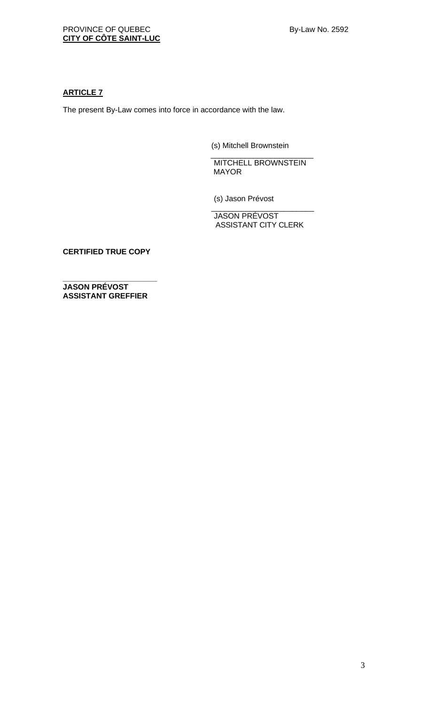# **ARTICLE 7**

The present By-Law comes into force in accordance with the law.

(s) Mitchell Brownstein

\_\_\_\_\_\_\_\_\_\_\_\_\_\_\_\_\_\_\_\_\_\_\_\_ MITCHELL BROWNSTEIN MAYOR

(s) Jason Prévost

\_\_\_\_\_\_\_\_\_\_\_\_\_\_\_\_\_\_\_\_\_\_\_\_ JASON PRÉVOST ASSISTANT CITY CLERK

**CERTIFIED TRUE COPY**

**\_\_\_\_\_\_\_\_\_\_\_\_\_\_\_\_\_\_\_\_\_\_ JASON PRÉVOST ASSISTANT GREFFIER**